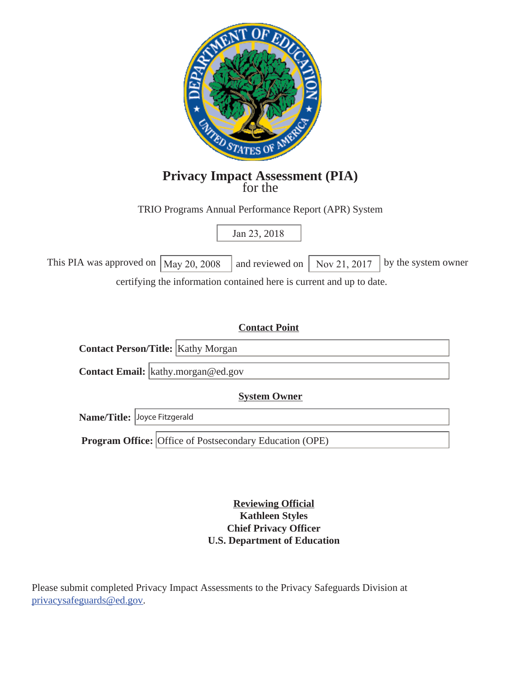

# **Privacy Impact Assessment (PIA)** for the

TRIO Programs Annual Performance Report (APR) System

Jan 23, 2018

This PIA was approved on  $\vert$  May 20, 2008  $\vert$  and reviewed on  $\vert$  Nov 21, 2017  $\vert$  by the system owner certifying the information contained here is current and up to date.

## **Contact Point**

**Contact Person/Title:** Kathy Morgan **Contact Email:** kathy.morgan@ed.gov

**System Owner** 

**Name/Title:** Joyce Fitzgerald

**Program Office:** Office of Postsecondary Education (OPE)

**Reviewing Official Kathleen Styles Chief Privacy Officer U.S. Department of Education** 

Please submit completed Privacy Impact Assessments to the Privacy Safeguards Division at privacysafeguards@ed.gov.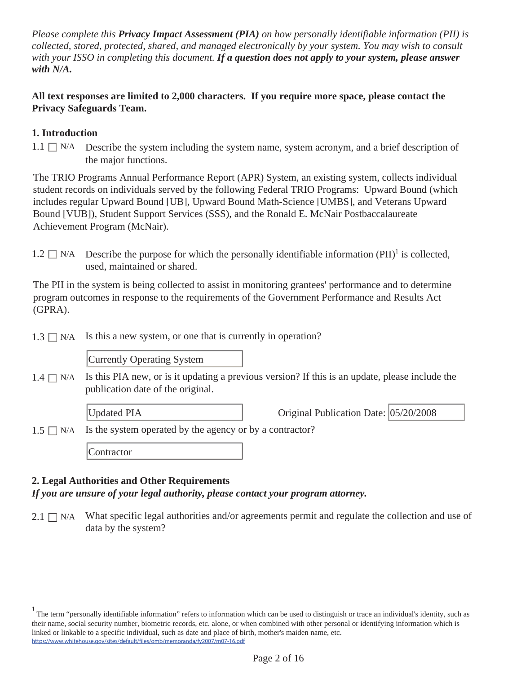*Please complete this Privacy Impact Assessment (PIA) on how personally identifiable information (PII) is collected, stored, protected, shared, and managed electronically by your system. You may wish to consult with your ISSO in completing this document. If a question does not apply to your system, please answer with N/A.* 

#### **All text responses are limited to 2,000 characters. If you require more space, please contact the Privacy Safeguards Team.**

#### **1. Introduction**

 $1.1 \Box$  N/A Describe the system including the system name, system acronym, and a brief description of the major functions.

The TRIO Programs Annual Performance Report (APR) System, an existing system, collects individual student records on individuals served by the following Federal TRIO Programs: Upward Bound (which includes regular Upward Bound [UB], Upward Bound Math-Science [UMBS], and Veterans Upward Bound [VUB]), Student Support Services (SSS), and the Ronald E. McNair Postbaccalaureate Achievement Program (McNair).

1.2  $\Box$  N/A Describe the purpose for which the personally identifiable information (PII)<sup>1</sup> is collected, used, maintained or shared.

The PII in the system is being collected to assist in monitoring grantees' performance and to determine program outcomes in response to the requirements of the Government Performance and Results Act (GPRA).

 $1.3 \square N/A$  Is this a new system, or one that is currently in operation?

Currently Operating System

Is this PIA new, or is it updating a previous version? If this is an update, please include the publication date of the original.  $1.4 \square$  N/A

Updated PIA **Original Publication Date:** 05/20/2008

 $1.5 \square N/A$  Is the system operated by the agency or by a contractor?

**Contractor** 

#### **2. Legal Authorities and Other Requirements**

*If you are unsure of your legal authority, please contact your program attorney.* 

 $2.1 \Box$  N/A What specific legal authorities and/or agreements permit and regulate the collection and use of data by the system?

<sup>&</sup>lt;sup>1</sup> The term "personally identifiable information" refers to information which can be used to distinguish or trace an individual's identity, such as their name, social security number, biometric records, etc. alone, or when combined with other personal or identifying information which is linked or linkable to a specific individual, such as date and place of birth, mother's maiden name, etc. https://www.whitehouse.gov/sites/default/files/omb/memoranda/fy2007/m07-16.pdf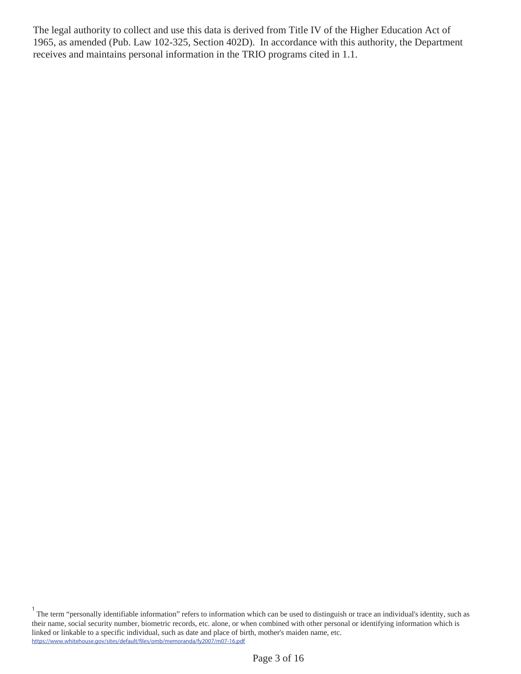The legal authority to collect and use this data is derived from Title IV of the Higher Education Act of 1965, as amended (Pub. Law 102-325, Section 402D). In accordance with this authority, the Department receives and maintains personal information in the TRIO programs cited in 1.1.

<sup>&</sup>lt;sup>1</sup> The term "personally identifiable information" refers to information which can be used to distinguish or trace an individual's identity, such as their name, social security number, biometric records, etc. alone, or when combined with other personal or identifying information which is linked or linkable to a specific individual, such as date and place of birth, mother's maiden name, etc. https://www.whitehouse.gov/sites/default/files/omb/memoranda/fy2007/m07-16.pdf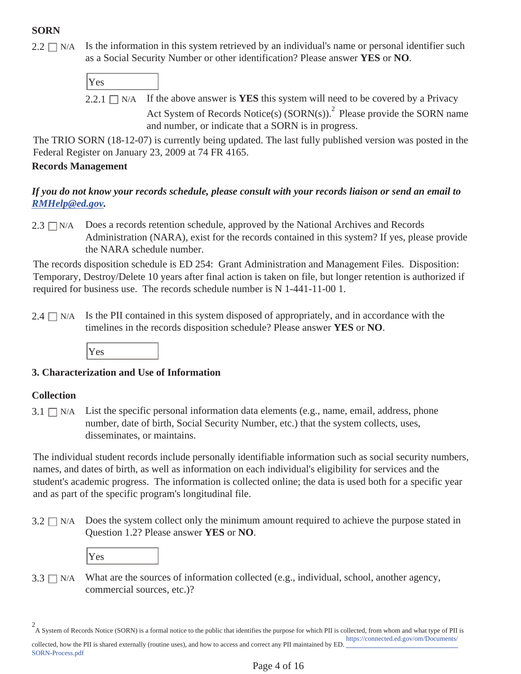# **SORN**

 $2.2 \square$  N/A Is the information in this system retrieved by an individual's name or personal identifier such as a Social Security Number or other identification? Please answer **YES** or **NO**.

| $\vert$ Yes |                                                                           |
|-------------|---------------------------------------------------------------------------|
|             | 221 $\Box$ N/A If the above answer is <b>VES</b> this system will need to |

2.2.1  $\Box$  N/A If the above answer is **YES** this system will need to be covered by a Privacy Act System of Records Notice(s) (SORN(s)).<sup>2</sup> Please provide the SORN name and number, or indicate that a SORN is in progress.

The TRIO SORN (18-12-07) is currently being updated. The last fully published version was posted in the Federal Register on January 23, 2009 at 74 FR 4165.

## **Records Management**

## *If you do not know your records schedule, please consult with your records liaison or send an email to RMHelp@ed.gov.*

 $2.3 \square N/A$  Does a records retention schedule, approved by the National Archives and Records Administration (NARA), exist for the records contained in this system? If yes, please provide the NARA schedule number.

The records disposition schedule is ED 254: Grant Administration and Management Files. Disposition: Temporary, Destroy/Delete 10 years after final action is taken on file, but longer retention is authorized if required for business use. The records schedule number is N 1-441-11-00 1.

 $2.4 \Box$  N/A Is the PII contained in this system disposed of appropriately, and in accordance with the timelines in the records disposition schedule? Please answer **YES** or **NO**.



## **3. Characterization and Use of Information**

## **Collection**

SORN-Process.pdf

List the specific personal information data elements (e.g., name, email, address, phone number, date of birth, Social Security Number, etc.) that the system collects, uses, disseminates, or maintains.  $3.1 \square N/A$ 

The individual student records include personally identifiable information such as social security numbers, names, and dates of birth, as well as information on each individual's eligibility for services and the student's academic progress. The information is collected online; the data is used both for a specific year and as part of the specific program's longitudinal file.

 $3.2 \square$  N/A Does the system collect only the minimum amount required to achieve the purpose stated in Question 1.2? Please answer **YES** or **NO**.

| J.<br>۰. |  |  |
|----------|--|--|
|          |  |  |

 $3.3 \square$  N/A What are the sources of information collected (e.g., individual, school, another agency, commercial sources, etc.)?

A System of Records Notice (SORN) is a formal notice to the public that identifies the purpose for which PII is collected, from whom and what type of PII is 2 https://connected.ed.gov/om/Documents/ collected, how the PII is shared externally (routine uses), and how to access and correct any PII maintained by ED.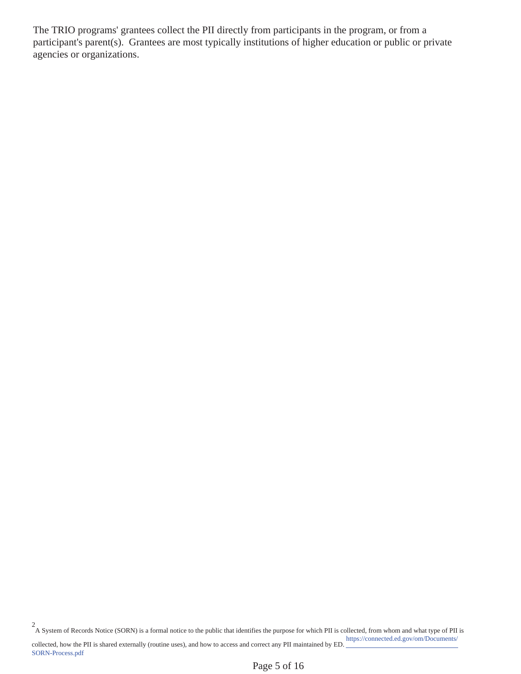The TRIO programs' grantees collect the PII directly from participants in the program, or from a participant's parent(s). Grantees are most typically institutions of higher education or public or private agencies or organizations.

A System of Records Notice (SORN) is a formal notice to the public that identifies the purpose for which PII is collected, from whom and what type of PII is 2 https://connected.ed.gov/om/Documents/ collected, how the PII is shared externally (routine uses), and how to access and correct any PII maintained by ED. SORN-Process.pdf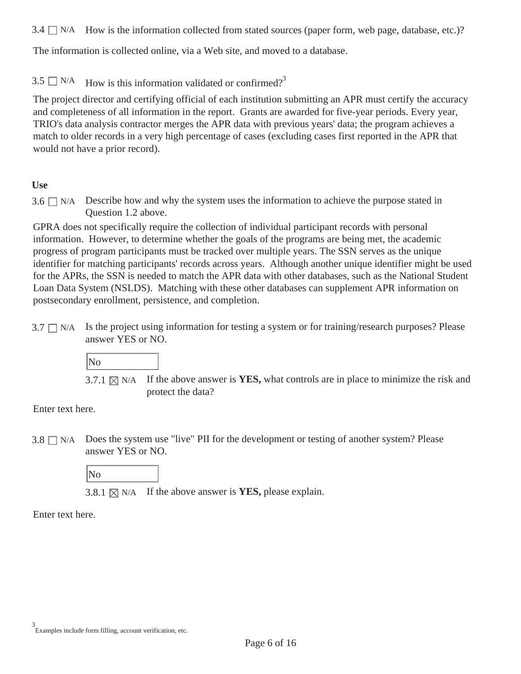$3.4 \Box$  N/A How is the information collected from stated sources (paper form, web page, database, etc.)?

The information is collected online, via a Web site, and moved to a database.

3.5  $\Box$  N/A How is this information validated or confirmed?<sup>3</sup>

The project director and certifying official of each institution submitting an APR must certify the accuracy and completeness of all information in the report. Grants are awarded for five-year periods. Every year, TRIO's data analysis contractor merges the APR data with previous years' data; the program achieves a match to older records in a very high percentage of cases (excluding cases first reported in the APR that would not have a prior record).

#### **Use**

Describe how and why the system uses the information to achieve the purpose stated in Question 1.2 above.  $3.6 \square$  N/A

GPRA does not specifically require the collection of individual participant records with personal information. However, to determine whether the goals of the programs are being met, the academic progress of program participants must be tracked over multiple years. The SSN serves as the unique identifier for matching participants' records across years. Although another unique identifier might be used for the APRs, the SSN is needed to match the APR data with other databases, such as the National Student Loan Data System (NSLDS). Matching with these other databases can supplement APR information on postsecondary enrollment, persistence, and completion.

 $3.7 \Box$  N/A Is the project using information for testing a system or for training/research purposes? Please answer YES or NO.



3.7.1  $\boxtimes$  N/A If the above answer is **YES**, what controls are in place to minimize the risk and protect the data?

Enter text here.

 $3.8 \square$  N/A Does the system use "live" PII for the development or testing of another system? Please answer YES or NO.

No

3.8.1  $\boxtimes$  N/A If the above answer is **YES**, please explain.

Enter text here.

Examples include form filling, account verification, etc. 3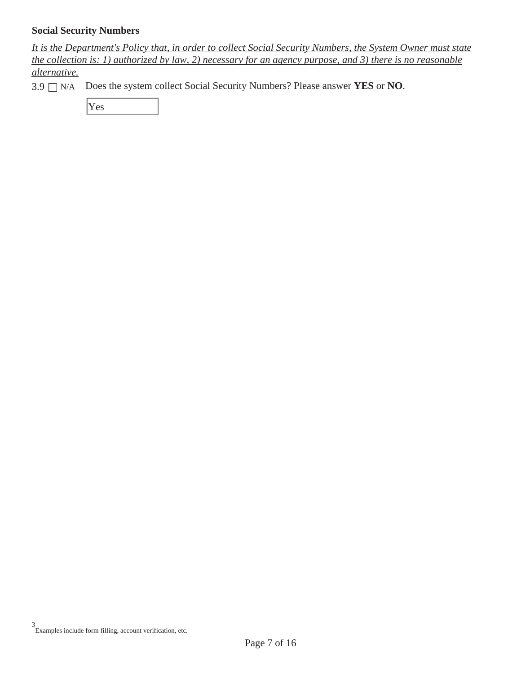#### **Social Security Numbers**

*It is the Department's Policy that, in order to collect Social Security Numbers, the System Owner must state the collection is: 1) authorized by law, 2) necessary for an agency purpose, and 3) there is no reasonable alternative.* 

3.9 N/A Does the system collect Social Security Numbers? Please answer **YES** or **NO**.

Yes

Examples include form filling, account verification, etc. 3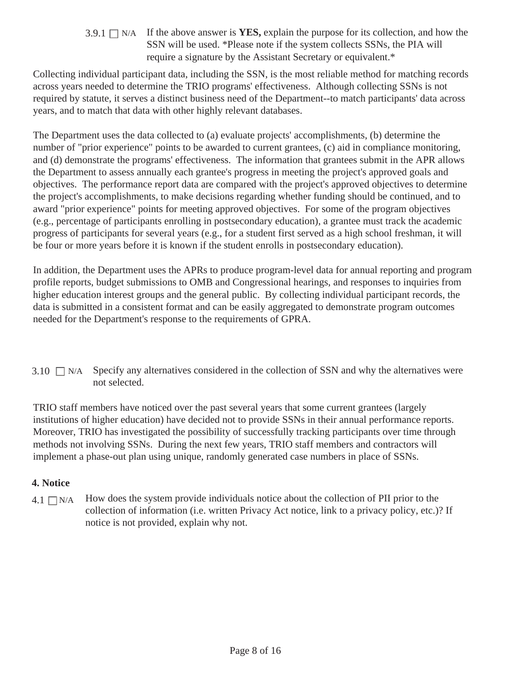3.9.1  $\Box$  N/A If the above answer is **YES**, explain the purpose for its collection, and how the SSN will be used. \*Please note if the system collects SSNs, the PIA will require a signature by the Assistant Secretary or equivalent.\*

Collecting individual participant data, including the SSN, is the most reliable method for matching records across years needed to determine the TRIO programs' effectiveness. Although collecting SSNs is not required by statute, it serves a distinct business need of the Department--to match participants' data across years, and to match that data with other highly relevant databases.

The Department uses the data collected to (a) evaluate projects' accomplishments, (b) determine the number of "prior experience" points to be awarded to current grantees, (c) aid in compliance monitoring, and (d) demonstrate the programs' effectiveness. The information that grantees submit in the APR allows the Department to assess annually each grantee's progress in meeting the project's approved goals and objectives. The performance report data are compared with the project's approved objectives to determine the project's accomplishments, to make decisions regarding whether funding should be continued, and to award "prior experience" points for meeting approved objectives. For some of the program objectives (e.g., percentage of participants enrolling in postsecondary education), a grantee must track the academic progress of participants for several years (e.g., for a student first served as a high school freshman, it will be four or more years before it is known if the student enrolls in postsecondary education).

In addition, the Department uses the APRs to produce program-level data for annual reporting and program profile reports, budget submissions to OMB and Congressional hearings, and responses to inquiries from higher education interest groups and the general public. By collecting individual participant records, the data is submitted in a consistent format and can be easily aggregated to demonstrate program outcomes needed for the Department's response to the requirements of GPRA.

 $3.10$   $\Box$  N/A Specify any alternatives considered in the collection of SSN and why the alternatives were not selected.

TRIO staff members have noticed over the past several years that some current grantees (largely institutions of higher education) have decided not to provide SSNs in their annual performance reports. Moreover, TRIO has investigated the possibility of successfully tracking participants over time through methods not involving SSNs. During the next few years, TRIO staff members and contractors will implement a phase-out plan using unique, randomly generated case numbers in place of SSNs.

#### **4. Notice**

 $4.1 \square N/A$  How does the system provide individuals notice about the collection of PII prior to the collection of information (i.e. written Privacy Act notice, link to a privacy policy, etc.)? If notice is not provided, explain why not.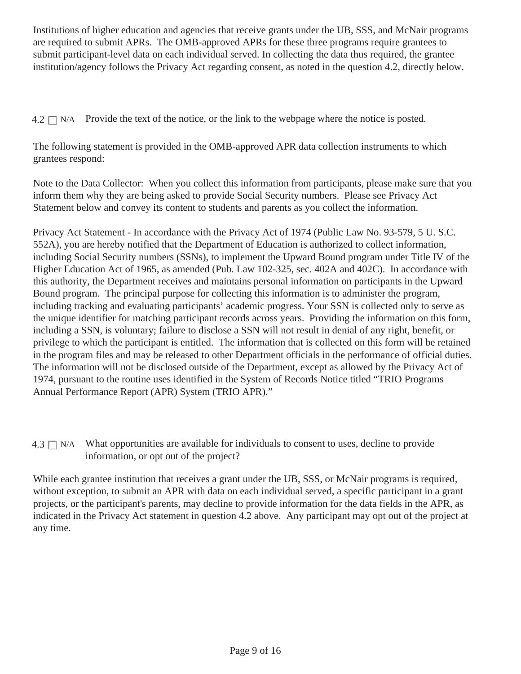Institutions of higher education and agencies that receive grants under the UB, SSS, and McNair programs are required to submit APRs. The OMB-approved APRs for these three programs require grantees to submit participant-level data on each individual served. In collecting the data thus required, the grantee institution/agency follows the Privacy Act regarding consent, as noted in the question 4.2, directly below.

 $4.2 \square N/A$  Provide the text of the notice, or the link to the webpage where the notice is posted.

The following statement is provided in the OMB-approved APR data collection instruments to which grantees respond:

Note to the Data Collector: When you collect this information from participants, please make sure that you inform them why they are being asked to provide Social Security numbers. Please see Privacy Act Statement below and convey its content to students and parents as you collect the information.

Privacy Act Statement - In accordance with the Privacy Act of 1974 (Public Law No. 93-579, 5 U. S.C. 552A), you are hereby notified that the Department of Education is authorized to collect information, including Social Security numbers (SSNs), to implement the Upward Bound program under Title IV of the Higher Education Act of 1965, as amended (Pub. Law 102-325, sec. 402A and 402C). In accordance with this authority, the Department receives and maintains personal information on participants in the Upward Bound program. The principal purpose for collecting this information is to administer the program, including tracking and evaluating participants' academic progress. Your SSN is collected only to serve as the unique identifier for matching participant records across years. Providing the information on this form, including a SSN, is voluntary; failure to disclose a SSN will not result in denial of any right, benefit, or privilege to which the participant is entitled. The information that is collected on this form will be retained in the program files and may be released to other Department officials in the performance of official duties. The information will not be disclosed outside of the Department, except as allowed by the Privacy Act of 1974, pursuant to the routine uses identified in the System of Records Notice titled "TRIO Programs Annual Performance Report (APR) System (TRIO APR)."

 $4.3 \Box$  N/A What opportunities are available for individuals to consent to uses, decline to provide information, or opt out of the project?

While each grantee institution that receives a grant under the UB, SSS, or McNair programs is required, without exception, to submit an APR with data on each individual served, a specific participant in a grant projects, or the participant's parents, may decline to provide information for the data fields in the APR, as indicated in the Privacy Act statement in question 4.2 above. Any participant may opt out of the project at any time.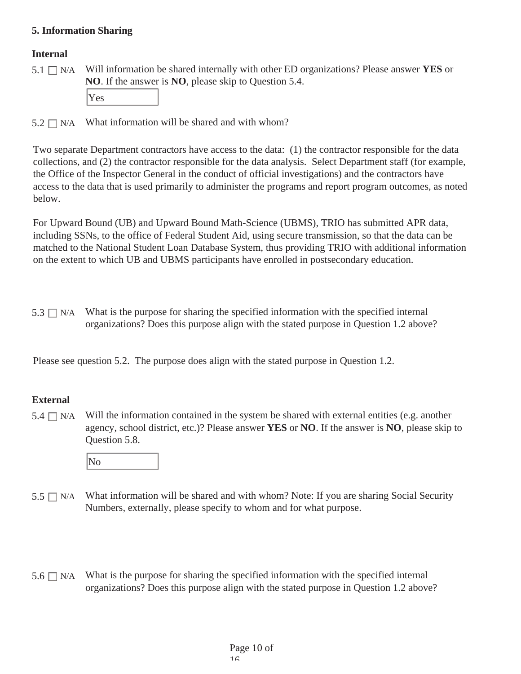#### **5. Information Sharing**

#### **Internal**

N/A Will information be shared internally with other ED organizations? Please answer **YES** or **NO**. If the answer is **NO**, please skip to Question 5.4.  $5.1 \square N/A$ 

Yes

 $5.2 \square$  N/A What information will be shared and with whom?

Two separate Department contractors have access to the data: (1) the contractor responsible for the data collections, and (2) the contractor responsible for the data analysis. Select Department staff (for example, the Office of the Inspector General in the conduct of official investigations) and the contractors have access to the data that is used primarily to administer the programs and report program outcomes, as noted below.

For Upward Bound (UB) and Upward Bound Math-Science (UBMS), TRIO has submitted APR data, including SSNs, to the office of Federal Student Aid, using secure transmission, so that the data can be matched to the National Student Loan Database System, thus providing TRIO with additional information on the extent to which UB and UBMS participants have enrolled in postsecondary education.

 $5.3 \Box$  N/A What is the purpose for sharing the specified information with the specified internal organizations? Does this purpose align with the stated purpose in Question 1.2 above?

Please see question 5.2. The purpose does align with the stated purpose in Question 1.2.

## **External**

Will the information contained in the system be shared with external entities (e.g. another agency, school district, etc.)? Please answer **YES** or **NO**. If the answer is **NO**, please skip to Question 5.8.  $5.4 \square$  N/A



- $5.5 \Box$  N/A What information will be shared and with whom? Note: If you are sharing Social Security Numbers, externally, please specify to whom and for what purpose.
- What is the purpose for sharing the specified information with the specified internal organizations? Does this purpose align with the stated purpose in Question 1.2 above?  $5.6 \square$  N/A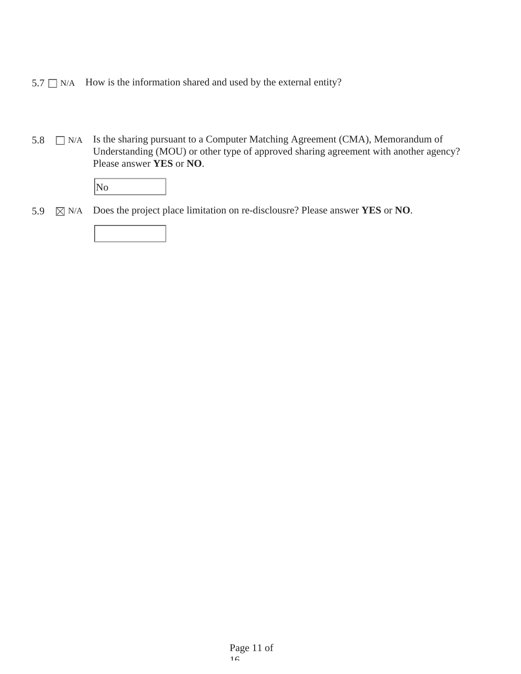- $5.7 \Box$  N/A How is the information shared and used by the external entity?
- 5.8  $\Box$  N/A Is the sharing pursuant to a Computer Matching Agreement (CMA), Memorandum of Understanding (MOU) or other type of approved sharing agreement with another agency? Please answer **YES** or **NO**.

5.9 N/A Does the project place limitation on re-disclousre? Please answer **YES** or **NO**.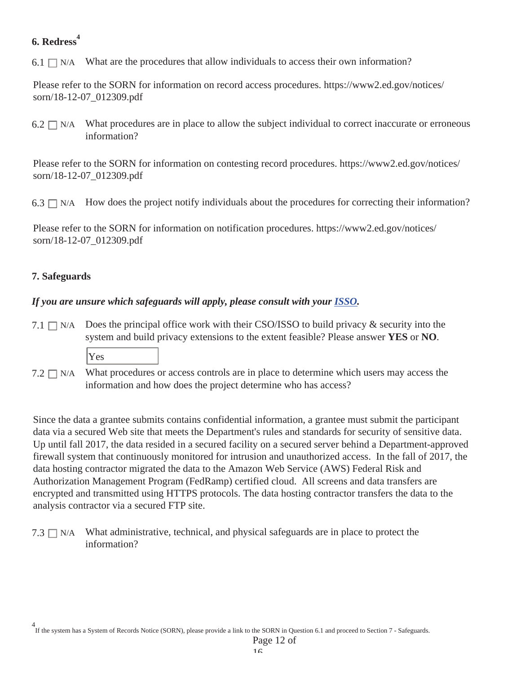# **6. Redress<sup>4</sup>**

6.1  $\Box$  N/A What are the procedures that allow individuals to access their own information?

Please refer to the SORN for information on record access procedures. https://www2.ed.gov/notices/ sorn/18-12-07\_012309.pdf

What procedures are in place to allow the subject individual to correct inaccurate or erroneous information?  $6.2 \square$  N/A

Please refer to the SORN for information on contesting record procedures. https://www2.ed.gov/notices/ sorn/18-12-07\_012309.pdf

6.3  $\Box$  N/A How does the project notify individuals about the procedures for correcting their information?

Please refer to the SORN for information on notification procedures. https://www2.ed.gov/notices/ sorn/18-12-07\_012309.pdf

# **7. Safeguards**

## *If you are unsure which safeguards will apply, please consult with your ISSO.*

- 7.1  $\Box$  N/A Does the principal office work with their CSO/ISSO to build privacy & security into the system and build privacy extensions to the extent feasible? Please answer **YES** or **NO**.
	- Yes
- $7.2 \square N/A$  What procedures or access controls are in place to determine which users may access the information and how does the project determine who has access?

Since the data a grantee submits contains confidential information, a grantee must submit the participant data via a secured Web site that meets the Department's rules and standards for security of sensitive data. Up until fall 2017, the data resided in a secured facility on a secured server behind a Department-approved firewall system that continuously monitored for intrusion and unauthorized access. In the fall of 2017, the data hosting contractor migrated the data to the Amazon Web Service (AWS) Federal Risk and Authorization Management Program (FedRamp) certified cloud. All screens and data transfers are encrypted and transmitted using HTTPS protocols. The data hosting contractor transfers the data to the analysis contractor via a secured FTP site.

7.3  $\Box$  N/A What administrative, technical, and physical safeguards are in place to protect the information?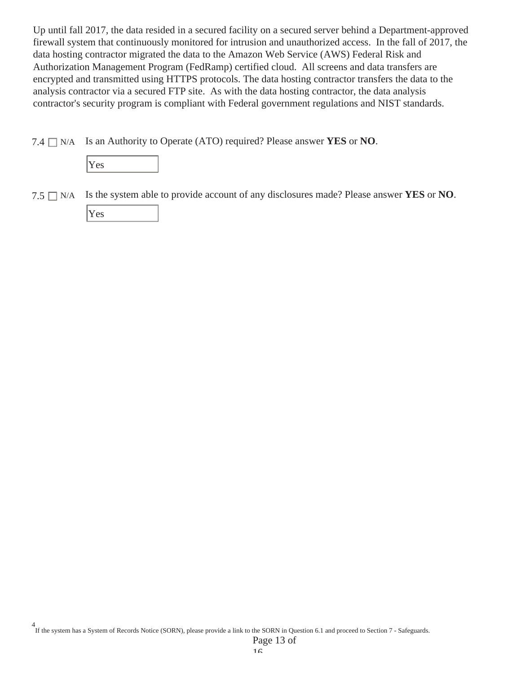Up until fall 2017, the data resided in a secured facility on a secured server behind a Department-approved firewall system that continuously monitored for intrusion and unauthorized access. In the fall of 2017, the data hosting contractor migrated the data to the Amazon Web Service (AWS) Federal Risk and Authorization Management Program (FedRamp) certified cloud. All screens and data transfers are encrypted and transmitted using HTTPS protocols. The data hosting contractor transfers the data to the analysis contractor via a secured FTP site. As with the data hosting contractor, the data analysis contractor's security program is compliant with Federal government regulations and NIST standards.

7.4  $\Box$  N/A Is an Authority to Operate (ATO) required? Please answer **YES** or **NO**.



7.5 N/A Is the system able to provide account of any disclosures made? Please answer **YES** or **NO**. Yes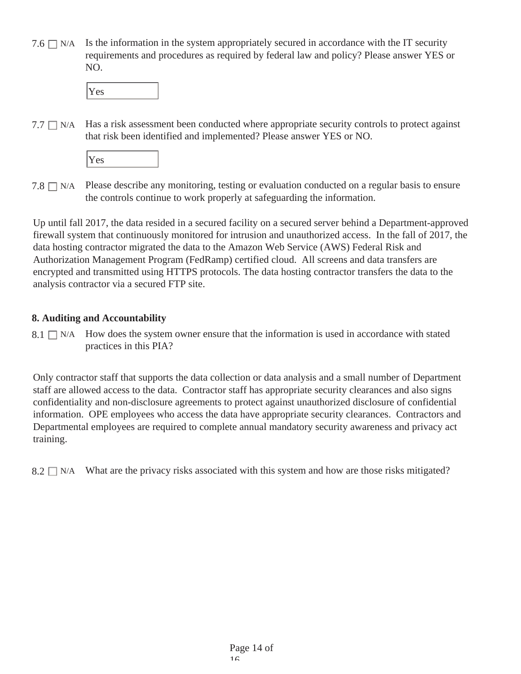7.6  $\Box$  N/A Is the information in the system appropriately secured in accordance with the IT security requirements and procedures as required by federal law and policy? Please answer YES or NO.



Has a risk assessment been conducted where appropriate security controls to protect against that risk been identified and implemented? Please answer YES or NO.  $7.7 \square$  N/A

Yes

7.8  $\Box$  N/A Please describe any monitoring, testing or evaluation conducted on a regular basis to ensure the controls continue to work properly at safeguarding the information.

Up until fall 2017, the data resided in a secured facility on a secured server behind a Department-approved firewall system that continuously monitored for intrusion and unauthorized access. In the fall of 2017, the data hosting contractor migrated the data to the Amazon Web Service (AWS) Federal Risk and Authorization Management Program (FedRamp) certified cloud. All screens and data transfers are encrypted and transmitted using HTTPS protocols. The data hosting contractor transfers the data to the analysis contractor via a secured FTP site.

## **8. Auditing and Accountability**

 $8.1 \Box$  N/A How does the system owner ensure that the information is used in accordance with stated practices in this PIA?

Only contractor staff that supports the data collection or data analysis and a small number of Department staff are allowed access to the data. Contractor staff has appropriate security clearances and also signs confidentiality and non-disclosure agreements to protect against unauthorized disclosure of confidential information. OPE employees who access the data have appropriate security clearances. Contractors and Departmental employees are required to complete annual mandatory security awareness and privacy act training.

 $8.2 \Box$  N/A What are the privacy risks associated with this system and how are those risks mitigated?